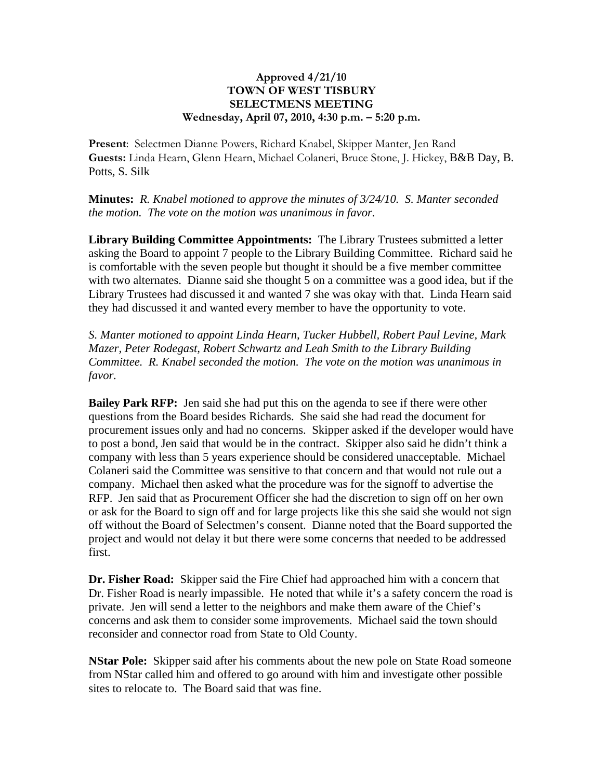## **Approved 4/21/10 TOWN OF WEST TISBURY SELECTMENS MEETING Wednesday, April 07, 2010, 4:30 p.m. – 5:20 p.m.**

**Present**: Selectmen Dianne Powers, Richard Knabel, Skipper Manter, Jen Rand **Guests:** Linda Hearn, Glenn Hearn, Michael Colaneri, Bruce Stone, J. Hickey, B&B Day, B. Potts, S. Silk

**Minutes:** *R. Knabel motioned to approve the minutes of 3/24/10. S. Manter seconded the motion. The vote on the motion was unanimous in favor.*

**Library Building Committee Appointments:** The Library Trustees submitted a letter asking the Board to appoint 7 people to the Library Building Committee. Richard said he is comfortable with the seven people but thought it should be a five member committee with two alternates. Dianne said she thought 5 on a committee was a good idea, but if the Library Trustees had discussed it and wanted 7 she was okay with that. Linda Hearn said they had discussed it and wanted every member to have the opportunity to vote.

*S. Manter motioned to appoint Linda Hearn, Tucker Hubbell, Robert Paul Levine, Mark Mazer, Peter Rodegast, Robert Schwartz and Leah Smith to the Library Building Committee. R. Knabel seconded the motion. The vote on the motion was unanimous in favor.*

**Bailey Park RFP:** Jen said she had put this on the agenda to see if there were other questions from the Board besides Richards. She said she had read the document for procurement issues only and had no concerns. Skipper asked if the developer would have to post a bond, Jen said that would be in the contract. Skipper also said he didn't think a company with less than 5 years experience should be considered unacceptable. Michael Colaneri said the Committee was sensitive to that concern and that would not rule out a company. Michael then asked what the procedure was for the signoff to advertise the RFP. Jen said that as Procurement Officer she had the discretion to sign off on her own or ask for the Board to sign off and for large projects like this she said she would not sign off without the Board of Selectmen's consent. Dianne noted that the Board supported the project and would not delay it but there were some concerns that needed to be addressed first.

**Dr. Fisher Road:** Skipper said the Fire Chief had approached him with a concern that Dr. Fisher Road is nearly impassible. He noted that while it's a safety concern the road is private. Jen will send a letter to the neighbors and make them aware of the Chief's concerns and ask them to consider some improvements. Michael said the town should reconsider and connector road from State to Old County.

**NStar Pole:** Skipper said after his comments about the new pole on State Road someone from NStar called him and offered to go around with him and investigate other possible sites to relocate to. The Board said that was fine.